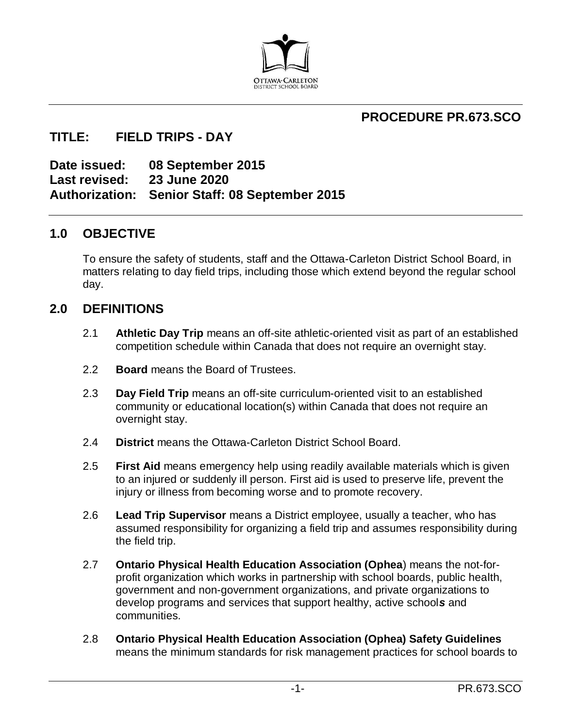

# **PROCEDURE PR.673.SCO**

### **TITLE: FIELD TRIPS - DAY**

**Date issued: 08 September 2015 Last revised: 23 June 2020 Authorization: Senior Staff: 08 September 2015** 

### **1.0 OBJECTIVE**

To ensure the safety of students, staff and the Ottawa-Carleton District School Board, in matters relating to day field trips, including those which extend beyond the regular school day.

### **2.0 DEFINITIONS**

- 2.1 **Athletic Day Trip** means an off-site athletic-oriented visit as part of an established competition schedule within Canada that does not require an overnight stay.
- 2.2 **Board** means the Board of Trustees.
- 2.3 **Day Field Trip** means an off-site curriculum-oriented visit to an established community or educational location(s) within Canada that does not require an overnight stay.
- 2.4 **District** means the Ottawa-Carleton District School Board.
- 2.5 **First Aid** means emergency help using readily available materials which is given to an injured or suddenly ill person. First aid is used to preserve life, prevent the injury or illness from becoming worse and to promote recovery.
- 2.6 **Lead Trip Supervisor** means a District employee, usually a teacher, who has assumed responsibility for organizing a field trip and assumes responsibility during the field trip.
- 2.7 **Ontario Physical Health Education Association (Ophea**) means the not-forprofit organization which works in partnership with school boards, public health, government and non-government organizations, and private organizations to develop programs and services that support healthy, active school*s* and communities.
- 2.8 **Ontario Physical Health Education Association (Ophea) Safety Guidelines** means the minimum standards for risk management practices for school boards to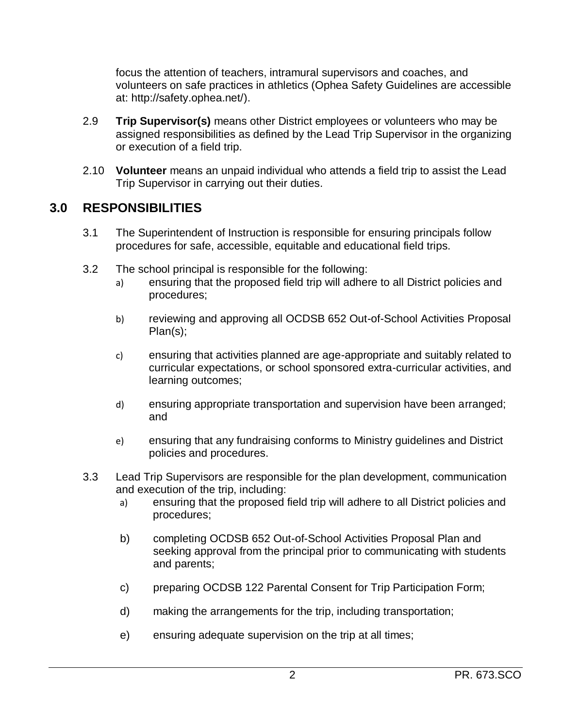focus the attention of teachers, intramural supervisors and coaches, and volunteers on safe practices in athletics (Ophea Safety Guidelines are accessible at: [http://safety.ophea.net/\)](http://safety.ophea.net/).

- 2.9 **Trip Supervisor(s)** means other District employees or volunteers who may be assigned responsibilities as defined by the Lead Trip Supervisor in the organizing or execution of a field trip.
- 2.10 **Volunteer** means an unpaid individual who attends a field trip to assist the Lead Trip Supervisor in carrying out their duties.

# **3.0 RESPONSIBILITIES**

- 3.1 The Superintendent of Instruction is responsible for ensuring principals follow procedures for safe, accessible, equitable and educational field trips.
- 3.2 The school principal is responsible for the following:
	- a) ensuring that the proposed field trip will adhere to all District policies and procedures;
	- b) reviewing and approving all OCDSB 652 Out-of-School Activities Proposal Plan(s);
	- c) ensuring that activities planned are age-appropriate and suitably related to curricular expectations, or school sponsored extra-curricular activities, and learning outcomes;
	- d) ensuring appropriate transportation and supervision have been arranged; and
	- e) ensuring that any fundraising conforms to Ministry guidelines and District policies and procedures.
- 3.3 Lead Trip Supervisors are responsible for the plan development, communication and execution of the trip, including:
	- a) ensuring that the proposed field trip will adhere to all District policies and procedures;
	- b) completing OCDSB 652 Out-of-School Activities Proposal Plan and seeking approval from the principal prior to communicating with students and parents;
	- c) preparing OCDSB 122 Parental Consent for Trip Participation Form;
	- d) making the arrangements for the trip, including transportation;
	- e) ensuring adequate supervision on the trip at all times;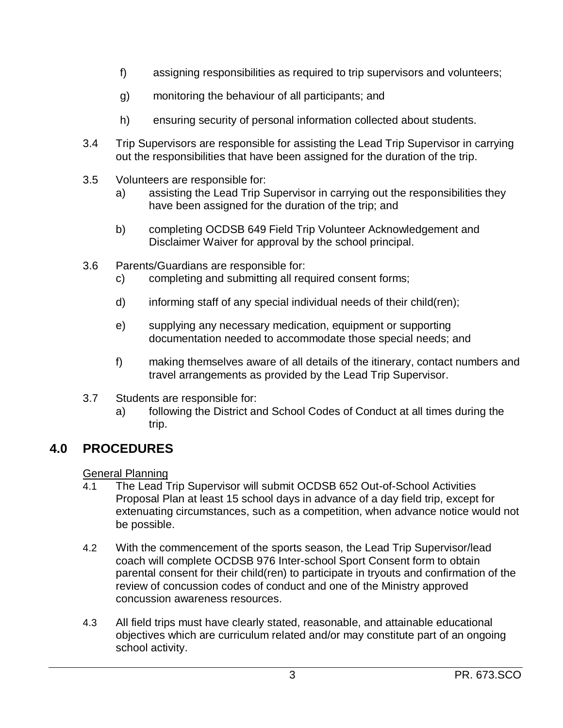- f) assigning responsibilities as required to trip supervisors and volunteers;
- g) monitoring the behaviour of all participants; and
- h) ensuring security of personal information collected about students.
- 3.4 Trip Supervisors are responsible for assisting the Lead Trip Supervisor in carrying out the responsibilities that have been assigned for the duration of the trip.
- 3.5 Volunteers are responsible for:
	- a) assisting the Lead Trip Supervisor in carrying out the responsibilities they have been assigned for the duration of the trip; and
	- b) completing OCDSB 649 Field Trip Volunteer Acknowledgement and Disclaimer Waiver for approval by the school principal.
- 3.6 Parents/Guardians are responsible for:
	- c) completing and submitting all required consent forms;
	- d) informing staff of any special individual needs of their child(ren);
	- e) supplying any necessary medication, equipment or supporting documentation needed to accommodate those special needs; and
	- f) making themselves aware of all details of the itinerary, contact numbers and travel arrangements as provided by the Lead Trip Supervisor.
- 3.7 Students are responsible for:
	- a) following the District and School Codes of Conduct at all times during the trip.

## **4.0 PROCEDURES**

General Planning

- 4.1 The Lead Trip Supervisor will submit OCDSB 652 Out-of-School Activities Proposal Plan at least 15 school days in advance of a day field trip, except for extenuating circumstances, such as a competition, when advance notice would not be possible.
- 4.2 With the commencement of the sports season, the Lead Trip Supervisor/lead coach will complete OCDSB 976 Inter-school Sport Consent form to obtain parental consent for their child(ren) to participate in tryouts and confirmation of the review of concussion codes of conduct and one of the Ministry approved concussion awareness resources.
- 4.3 All field trips must have clearly stated, reasonable, and attainable educational objectives which are curriculum related and/or may constitute part of an ongoing school activity.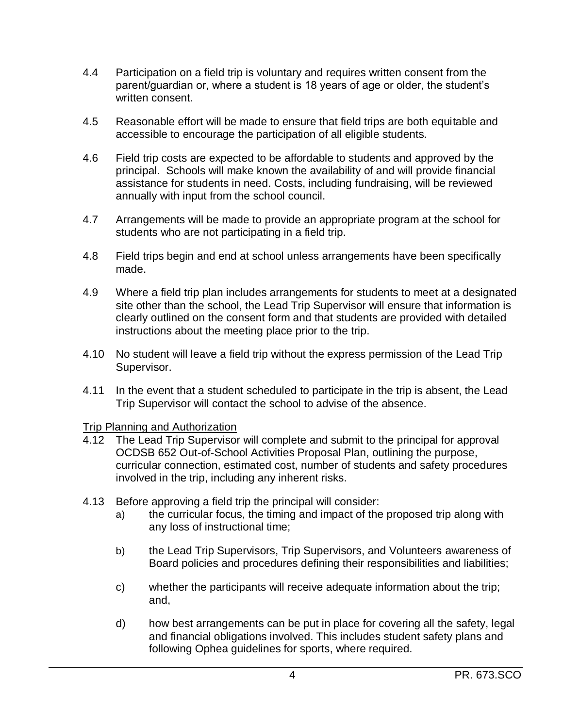- 4.4 Participation on a field trip is voluntary and requires written consent from the parent/guardian or, where a student is 18 years of age or older, the student's written consent.
- 4.5 Reasonable effort will be made to ensure that field trips are both equitable and accessible to encourage the participation of all eligible students.
- 4.6 Field trip costs are expected to be affordable to students and approved by the principal. Schools will make known the availability of and will provide financial assistance for students in need. Costs, including fundraising, will be reviewed annually with input from the school council.
- 4.7 Arrangements will be made to provide an appropriate program at the school for students who are not participating in a field trip.
- 4.8 Field trips begin and end at school unless arrangements have been specifically made.
- 4.9 Where a field trip plan includes arrangements for students to meet at a designated site other than the school, the Lead Trip Supervisor will ensure that information is clearly outlined on the consent form and that students are provided with detailed instructions about the meeting place prior to the trip.
- 4.10 No student will leave a field trip without the express permission of the Lead Trip Supervisor.
- 4.11 In the event that a student scheduled to participate in the trip is absent, the Lead Trip Supervisor will contact the school to advise of the absence.

#### Trip Planning and Authorization

- 4.12 The Lead Trip Supervisor will complete and submit to the principal for approval OCDSB 652 Out-of-School Activities Proposal Plan, outlining the purpose, curricular connection, estimated cost, number of students and safety procedures involved in the trip, including any inherent risks.
- 4.13 Before approving a field trip the principal will consider:
	- a) the curricular focus, the timing and impact of the proposed trip along with any loss of instructional time;
	- b) the Lead Trip Supervisors, Trip Supervisors, and Volunteers awareness of Board policies and procedures defining their responsibilities and liabilities;
	- c) whether the participants will receive adequate information about the trip; and,
	- d) how best arrangements can be put in place for covering all the safety, legal and financial obligations involved. This includes student safety plans and following Ophea guidelines for sports, where required.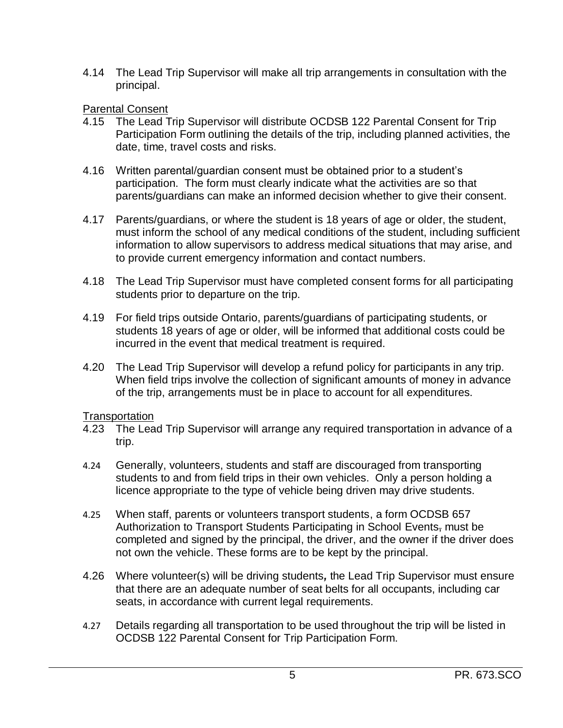4.14 The Lead Trip Supervisor will make all trip arrangements in consultation with the principal.

#### **Parental Consent**

- 4.15 The Lead Trip Supervisor will distribute OCDSB 122 Parental Consent for Trip Participation Form outlining the details of the trip, including planned activities, the date, time, travel costs and risks.
- 4.16 Written parental/guardian consent must be obtained prior to a student's participation. The form must clearly indicate what the activities are so that parents/guardians can make an informed decision whether to give their consent.
- 4.17 Parents/guardians, or where the student is 18 years of age or older, the student, must inform the school of any medical conditions of the student, including sufficient information to allow supervisors to address medical situations that may arise, and to provide current emergency information and contact numbers.
- 4.18 The Lead Trip Supervisor must have completed consent forms for all participating students prior to departure on the trip.
- 4.19 For field trips outside Ontario, parents/guardians of participating students, or students 18 years of age or older, will be informed that additional costs could be incurred in the event that medical treatment is required.
- 4.20 The Lead Trip Supervisor will develop a refund policy for participants in any trip. When field trips involve the collection of significant amounts of money in advance of the trip, arrangements must be in place to account for all expenditures.

#### **Transportation**

- 4.23 The Lead Trip Supervisor will arrange any required transportation in advance of a trip.
- 4.24 Generally, volunteers, students and staff are discouraged from transporting students to and from field trips in their own vehicles. Only a person holding a licence appropriate to the type of vehicle being driven may drive students.
- 4.25 When staff, parents or volunteers transport students, a form OCDSB 657 Authorization to Transport Students Participating in School Events, must be completed and signed by the principal, the driver, and the owner if the driver does not own the vehicle. These forms are to be kept by the principal.
- 4.26 Where volunteer(s) will be driving students*,* the Lead Trip Supervisor must ensure that there are an adequate number of seat belts for all occupants, including car seats, in accordance with current legal requirements.
- 4.27 Details regarding all transportation to be used throughout the trip will be listed in OCDSB 122 Parental Consent for Trip Participation Form.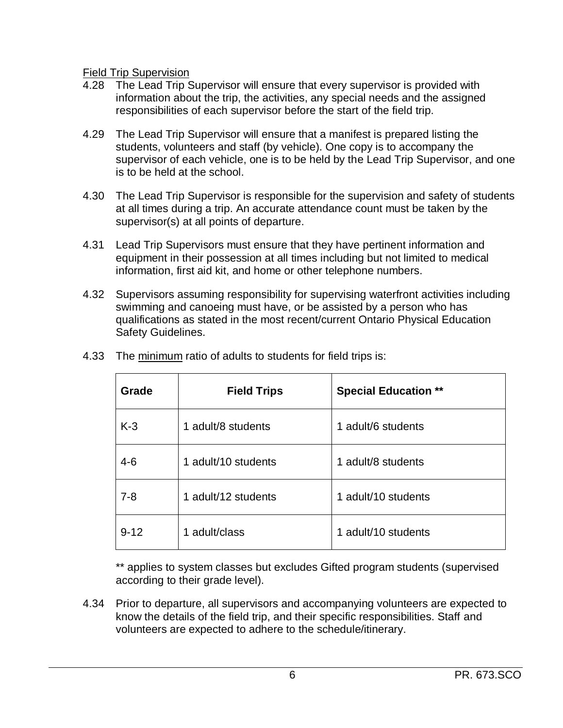Field Trip Supervision

- 4.28 The Lead Trip Supervisor will ensure that every supervisor is provided with information about the trip, the activities, any special needs and the assigned responsibilities of each supervisor before the start of the field trip.
- 4.29 The Lead Trip Supervisor will ensure that a manifest is prepared listing the students, volunteers and staff (by vehicle). One copy is to accompany the supervisor of each vehicle, one is to be held by the Lead Trip Supervisor, and one is to be held at the school.
- 4.30 The Lead Trip Supervisor is responsible for the supervision and safety of students at all times during a trip. An accurate attendance count must be taken by the supervisor(s) at all points of departure.
- 4.31 Lead Trip Supervisors must ensure that they have pertinent information and equipment in their possession at all times including but not limited to medical information, first aid kit, and home or other telephone numbers.
- 4.32 Supervisors assuming responsibility for supervising waterfront activities including swimming and canoeing must have, or be assisted by a person who has qualifications as stated in the most recent/current Ontario Physical Education Safety Guidelines.

| Grade    | <b>Field Trips</b>  | <b>Special Education **</b> |
|----------|---------------------|-----------------------------|
| $K-3$    | 1 adult/8 students  | 1 adult/6 students          |
| $4 - 6$  | 1 adult/10 students | 1 adult/8 students          |
| $7 - 8$  | 1 adult/12 students | 1 adult/10 students         |
| $9 - 12$ | 1 adult/class       | 1 adult/10 students         |

4.33 The minimum ratio of adults to students for field trips is:

\*\* applies to system classes but excludes Gifted program students (supervised according to their grade level).

4.34 Prior to departure, all supervisors and accompanying volunteers are expected to know the details of the field trip, and their specific responsibilities. Staff and volunteers are expected to adhere to the schedule/itinerary.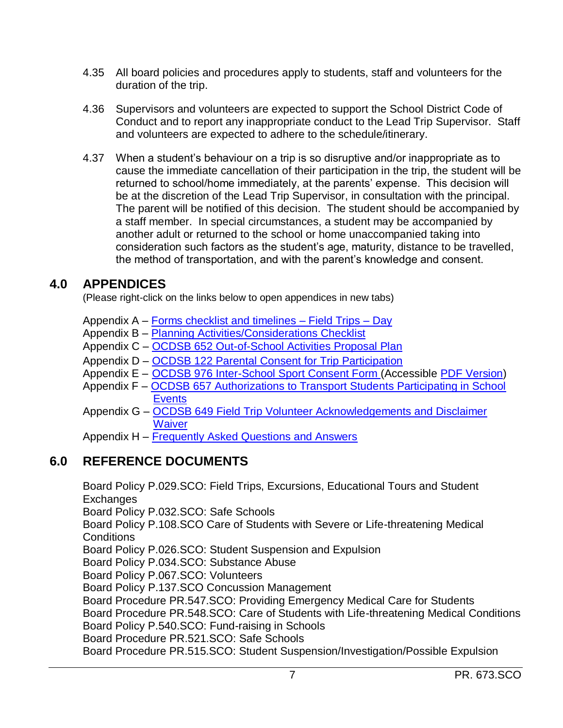- 4.35 All board policies and procedures apply to students, staff and volunteers for the duration of the trip.
- 4.36 Supervisors and volunteers are expected to support the School District Code of Conduct and to report any inappropriate conduct to the Lead Trip Supervisor. Staff and volunteers are expected to adhere to the schedule/itinerary.
- 4.37 When a student's behaviour on a trip is so disruptive and/or inappropriate as to cause the immediate cancellation of their participation in the trip, the student will be returned to school/home immediately, at the parents' expense. This decision will be at the discretion of the Lead Trip Supervisor, in consultation with the principal. The parent will be notified of this decision. The student should be accompanied by a staff member. In special circumstances, a student may be accompanied by another adult or returned to the school or home unaccompanied taking into consideration such factors as the student's age, maturity, distance to be travelled, the method of transportation, and with the parent's knowledge and consent.

## **4.0 APPENDICES**

(Please right-click on the links below to open appendices in new tabs)

Appendix A – [Forms checklist and timelines –](https://weblink.ocdsb.ca/WebLink/DocView.aspx?id=3963480&dbid=0&repo=OCDSB) Field Trips – Day

Appendix B - [Planning Activities/Considerations Checklist](https://weblink.ocdsb.ca/WebLink/DocView.aspx?id=3963487&dbid=0&repo=OCDSB)

Appendix C – [OCDSB 652 Out-of-School Activities Proposal Plan](https://weblink.ocdsb.ca/weblink/0/edoc/2781298/OCDSB%20652%20Out%20of%20School%20Activity.pdf)

Appendix D – [OCDSB 122 Parental Consent for Trip Participation](https://weblink.ocdsb.ca/WebLink/ElectronicFile.aspx?docid=3057418&dbid=0&repo=OCDSB)

- Appendix E [OCDSB 976 Inter-School Sport Consent Form](https://weblink.ocdsb.ca/WebLink/ElectronicFile.aspx?docid=3958512&dbid=0&repo=OCDSB) (Accessible [PDF Version\)](https://weblink.ocdsb.ca/WebLink/ElectronicFile.aspx?docid=4457527&dbid=0&repo=OCDSB)
- Appendix F [OCDSB 657 Authorizations to Transport Students Participating in School](https://weblink.ocdsb.ca/WebLink/ElectronicFile.aspx?docid=3837792&dbid=0&repo=OCDSB)  **[Events](https://weblink.ocdsb.ca/WebLink/ElectronicFile.aspx?docid=3837792&dbid=0&repo=OCDSB)**
- Appendix G [OCDSB 649 Field Trip Volunteer Acknowledgements and Disclaimer](https://weblink.ocdsb.ca/weblink/0/edoc/2983745/OCDSB%20649%20Field%20Trip%20Volunteer.pdf)  **[Waiver](https://weblink.ocdsb.ca/weblink/0/edoc/2983745/OCDSB%20649%20Field%20Trip%20Volunteer.pdf)**

Appendix H – [Frequently Asked Questions and Answers](https://weblink.ocdsb.ca/WebLink/DocView.aspx?id=3963490&dbid=0&repo=OCDSB)

# **6.0 REFERENCE DOCUMENTS**

Board Policy P.029.SCO: Field Trips, Excursions, Educational Tours and Student **Exchanges** Board Policy P.032.SCO: Safe Schools Board Policy P.108.SCO Care of Students with Severe or Life-threatening Medical **Conditions** Board Policy P.026.SCO: Student Suspension and Expulsion Board Policy P.034.SCO: Substance Abuse Board Policy P.067.SCO: Volunteers Board Policy P.137.SCO Concussion Management Board Procedure PR.547.SCO: Providing Emergency Medical Care for Students Board Procedure PR.548.SCO: Care of Students with Life-threatening Medical Conditions Board Policy P.540.SCO: Fund-raising in Schools Board Procedure PR.521.SCO: Safe Schools Board Procedure PR.515.SCO: Student Suspension/Investigation/Possible Expulsion